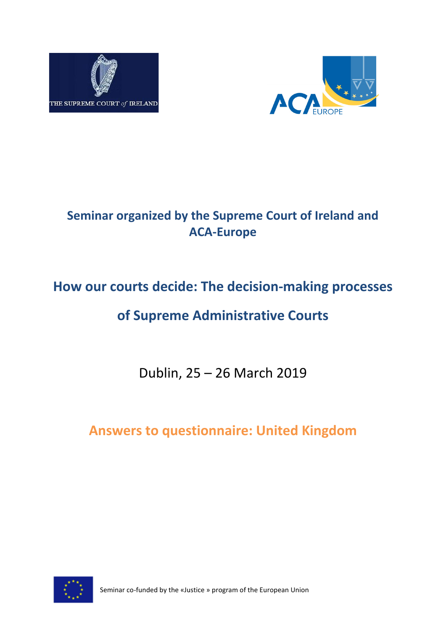



## **Seminar organized by the Supreme Court of Ireland and ACA-Europe**

# **How our courts decide: The decision-making processes**

## **of Supreme Administrative Courts**

Dublin, 25 – 26 March 2019

**Answers to questionnaire: United Kingdom**



Seminar co-funded by the «Justice » program of the European Union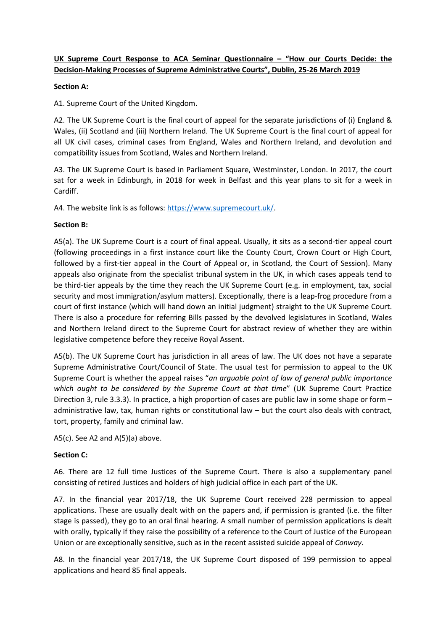## **UK Supreme Court Response to ACA Seminar Questionnaire – "How our Courts Decide: the Decision-Making Processes of Supreme Administrative Courts", Dublin, 25-26 March 2019**

#### **Section A:**

A1. Supreme Court of the United Kingdom.

A2. The UK Supreme Court is the final court of appeal for the separate jurisdictions of (i) England & Wales, (ii) Scotland and (iii) Northern Ireland. The UK Supreme Court is the final court of appeal for all UK civil cases, criminal cases from England, Wales and Northern Ireland, and devolution and compatibility issues from Scotland, Wales and Northern Ireland.

A3. The UK Supreme Court is based in Parliament Square, Westminster, London. In 2017, the court sat for a week in Edinburgh, in 2018 for week in Belfast and this year plans to sit for a week in Cardiff.

A4. The website link is as follows: [https://www.supremecourt.uk/.](https://www.supremecourt.uk/)

#### **Section B:**

A5(a). The UK Supreme Court is a court of final appeal. Usually, it sits as a second-tier appeal court (following proceedings in a first instance court like the County Court, Crown Court or High Court, followed by a first-tier appeal in the Court of Appeal or, in Scotland, the Court of Session). Many appeals also originate from the specialist tribunal system in the UK, in which cases appeals tend to be third-tier appeals by the time they reach the UK Supreme Court (e.g. in employment, tax, social security and most immigration/asylum matters). Exceptionally, there is a leap-frog procedure from a court of first instance (which will hand down an initial judgment) straight to the UK Supreme Court. There is also a procedure for referring Bills passed by the devolved legislatures in Scotland, Wales and Northern Ireland direct to the Supreme Court for abstract review of whether they are within legislative competence before they receive Royal Assent.

A5(b). The UK Supreme Court has jurisdiction in all areas of law. The UK does not have a separate Supreme Administrative Court/Council of State. The usual test for permission to appeal to the UK Supreme Court is whether the appeal raises "*an arguable point of law of general public importance which ought to be considered by the Supreme Court at that time*" (UK Supreme Court Practice Direction 3, rule 3.3.3). In practice, a high proportion of cases are public law in some shape or form – administrative law, tax, human rights or constitutional law – but the court also deals with contract, tort, property, family and criminal law.

A5(c). See A2 and  $A(5)(a)$  above.

## **Section C:**

A6. There are 12 full time Justices of the Supreme Court. There is also a supplementary panel consisting of retired Justices and holders of high judicial office in each part of the UK.

A7. In the financial year 2017/18, the UK Supreme Court received 228 permission to appeal applications. These are usually dealt with on the papers and, if permission is granted (i.e. the filter stage is passed), they go to an oral final hearing. A small number of permission applications is dealt with orally, typically if they raise the possibility of a reference to the Court of Justice of the European Union or are exceptionally sensitive, such as in the recent assisted suicide appeal of *Conway*.

A8. In the financial year 2017/18, the UK Supreme Court disposed of 199 permission to appeal applications and heard 85 final appeals.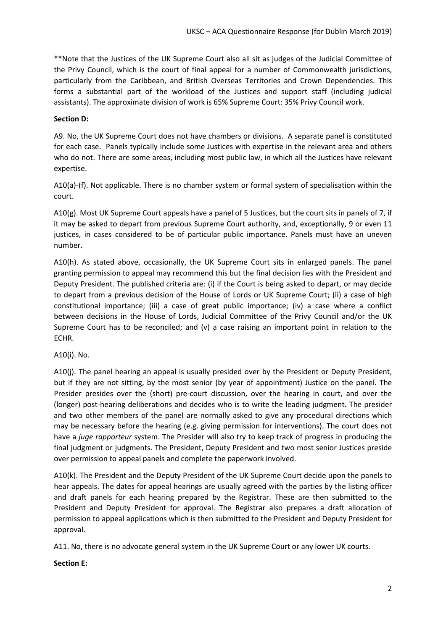\*\*Note that the Justices of the UK Supreme Court also all sit as judges of the Judicial Committee of the Privy Council, which is the court of final appeal for a number of Commonwealth jurisdictions, particularly from the Caribbean, and British Overseas Territories and Crown Dependencies. This forms a substantial part of the workload of the Justices and support staff (including judicial assistants). The approximate division of work is 65% Supreme Court: 35% Privy Council work.

## **Section D:**

A9. No, the UK Supreme Court does not have chambers or divisions. A separate panel is constituted for each case. Panels typically include some Justices with expertise in the relevant area and others who do not. There are some areas, including most public law, in which all the Justices have relevant expertise.

A10(a)-(f). Not applicable. There is no chamber system or formal system of specialisation within the court.

A10(g). Most UK Supreme Court appeals have a panel of 5 Justices, but the court sits in panels of 7, if it may be asked to depart from previous Supreme Court authority, and, exceptionally, 9 or even 11 justices, in cases considered to be of particular public importance. Panels must have an uneven number.

A10(h). As stated above, occasionally, the UK Supreme Court sits in enlarged panels. The panel granting permission to appeal may recommend this but the final decision lies with the President and Deputy President. The published criteria are: (i) if the Court is being asked to depart, or may decide to depart from a previous decision of the House of Lords or UK Supreme Court; (ii) a case of high constitutional importance; (iii) a case of great public importance; (iv) a case where a conflict between decisions in the House of Lords, Judicial Committee of the Privy Council and/or the UK Supreme Court has to be reconciled; and  $(v)$  a case raising an important point in relation to the ECHR.

## A10(i). No.

A10(j). The panel hearing an appeal is usually presided over by the President or Deputy President, but if they are not sitting, by the most senior (by year of appointment) Justice on the panel. The Presider presides over the (short) pre-court discussion, over the hearing in court, and over the (longer) post-hearing deliberations and decides who is to write the leading judgment. The presider and two other members of the panel are normally asked to give any procedural directions which may be necessary before the hearing (e.g. giving permission for interventions). The court does not have a *juge rapporteur* system. The Presider will also try to keep track of progress in producing the final judgment or judgments. The President, Deputy President and two most senior Justices preside over permission to appeal panels and complete the paperwork involved.

A10(k). The President and the Deputy President of the UK Supreme Court decide upon the panels to hear appeals. The dates for appeal hearings are usually agreed with the parties by the listing officer and draft panels for each hearing prepared by the Registrar. These are then submitted to the President and Deputy President for approval. The Registrar also prepares a draft allocation of permission to appeal applications which is then submitted to the President and Deputy President for approval.

A11. No, there is no advocate general system in the UK Supreme Court or any lower UK courts.

## **Section E:**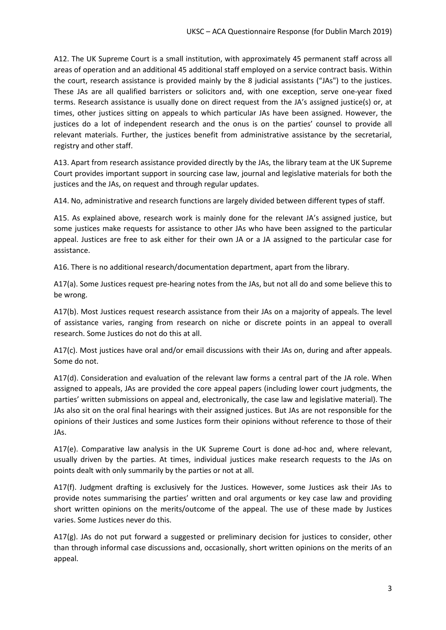A12. The UK Supreme Court is a small institution, with approximately 45 permanent staff across all areas of operation and an additional 45 additional staff employed on a service contract basis. Within the court, research assistance is provided mainly by the 8 judicial assistants ("JAs") to the justices. These JAs are all qualified barristers or solicitors and, with one exception, serve one-year fixed terms. Research assistance is usually done on direct request from the JA's assigned justice(s) or, at times, other justices sitting on appeals to which particular JAs have been assigned. However, the justices do a lot of independent research and the onus is on the parties' counsel to provide all relevant materials. Further, the justices benefit from administrative assistance by the secretarial, registry and other staff.

A13. Apart from research assistance provided directly by the JAs, the library team at the UK Supreme Court provides important support in sourcing case law, journal and legislative materials for both the justices and the JAs, on request and through regular updates.

A14. No, administrative and research functions are largely divided between different types of staff.

A15. As explained above, research work is mainly done for the relevant JA's assigned justice, but some justices make requests for assistance to other JAs who have been assigned to the particular appeal. Justices are free to ask either for their own JA or a JA assigned to the particular case for assistance.

A16. There is no additional research/documentation department, apart from the library.

A17(a). Some Justices request pre-hearing notes from the JAs, but not all do and some believe this to be wrong.

A17(b). Most Justices request research assistance from their JAs on a majority of appeals. The level of assistance varies, ranging from research on niche or discrete points in an appeal to overall research. Some Justices do not do this at all.

A17(c). Most justices have oral and/or email discussions with their JAs on, during and after appeals. Some do not.

A17(d). Consideration and evaluation of the relevant law forms a central part of the JA role. When assigned to appeals, JAs are provided the core appeal papers (including lower court judgments, the parties' written submissions on appeal and, electronically, the case law and legislative material). The JAs also sit on the oral final hearings with their assigned justices. But JAs are not responsible for the opinions of their Justices and some Justices form their opinions without reference to those of their JAs.

A17(e). Comparative law analysis in the UK Supreme Court is done ad-hoc and, where relevant, usually driven by the parties. At times, individual justices make research requests to the JAs on points dealt with only summarily by the parties or not at all.

A17(f). Judgment drafting is exclusively for the Justices. However, some Justices ask their JAs to provide notes summarising the parties' written and oral arguments or key case law and providing short written opinions on the merits/outcome of the appeal. The use of these made by Justices varies. Some Justices never do this.

A17(g). JAs do not put forward a suggested or preliminary decision for justices to consider, other than through informal case discussions and, occasionally, short written opinions on the merits of an appeal.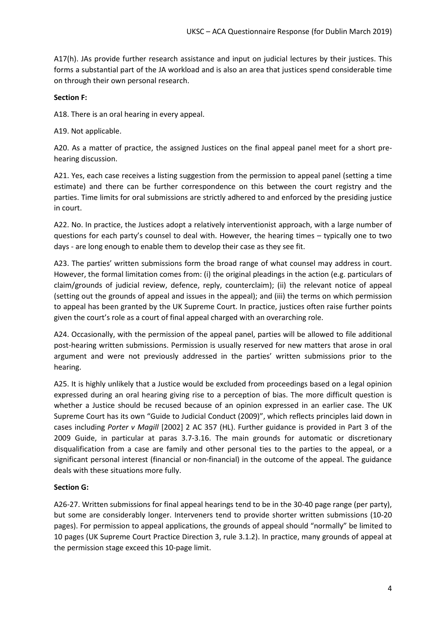A17(h). JAs provide further research assistance and input on judicial lectures by their justices. This forms a substantial part of the JA workload and is also an area that justices spend considerable time on through their own personal research.

## **Section F:**

A18. There is an oral hearing in every appeal.

A19. Not applicable.

A20. As a matter of practice, the assigned Justices on the final appeal panel meet for a short prehearing discussion.

A21. Yes, each case receives a listing suggestion from the permission to appeal panel (setting a time estimate) and there can be further correspondence on this between the court registry and the parties. Time limits for oral submissions are strictly adhered to and enforced by the presiding justice in court.

A22. No. In practice, the Justices adopt a relatively interventionist approach, with a large number of questions for each party's counsel to deal with. However, the hearing times – typically one to two days - are long enough to enable them to develop their case as they see fit.

A23. The parties' written submissions form the broad range of what counsel may address in court. However, the formal limitation comes from: (i) the original pleadings in the action (e.g. particulars of claim/grounds of judicial review, defence, reply, counterclaim); (ii) the relevant notice of appeal (setting out the grounds of appeal and issues in the appeal); and (iii) the terms on which permission to appeal has been granted by the UK Supreme Court. In practice, justices often raise further points given the court's role as a court of final appeal charged with an overarching role.

A24. Occasionally, with the permission of the appeal panel, parties will be allowed to file additional post-hearing written submissions. Permission is usually reserved for new matters that arose in oral argument and were not previously addressed in the parties' written submissions prior to the hearing.

A25. It is highly unlikely that a Justice would be excluded from proceedings based on a legal opinion expressed during an oral hearing giving rise to a perception of bias. The more difficult question is whether a Justice should be recused because of an opinion expressed in an earlier case. The UK Supreme Court has its own "Guide to Judicial Conduct (2009)", which reflects principles laid down in cases including *Porter v Magill* [2002] 2 AC 357 (HL). Further guidance is provided in Part 3 of the 2009 Guide, in particular at paras 3.7-3.16. The main grounds for automatic or discretionary disqualification from a case are family and other personal ties to the parties to the appeal, or a significant personal interest (financial or non-financial) in the outcome of the appeal. The guidance deals with these situations more fully.

## **Section G:**

A26-27. Written submissions for final appeal hearings tend to be in the 30-40 page range (per party), but some are considerably longer. Interveners tend to provide shorter written submissions (10-20 pages). For permission to appeal applications, the grounds of appeal should "normally" be limited to 10 pages (UK Supreme Court Practice Direction 3, rule 3.1.2). In practice, many grounds of appeal at the permission stage exceed this 10-page limit.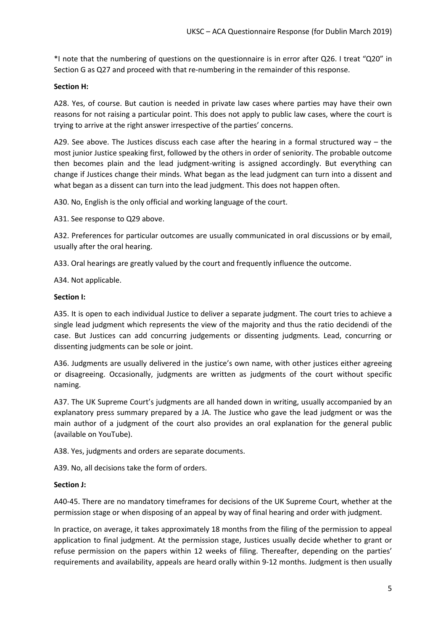\*I note that the numbering of questions on the questionnaire is in error after Q26. I treat "Q20" in Section G as Q27 and proceed with that re-numbering in the remainder of this response.

### **Section H:**

A28. Yes, of course. But caution is needed in private law cases where parties may have their own reasons for not raising a particular point. This does not apply to public law cases, where the court is trying to arrive at the right answer irrespective of the parties' concerns.

A29. See above. The Justices discuss each case after the hearing in a formal structured way – the most junior Justice speaking first, followed by the others in order of seniority. The probable outcome then becomes plain and the lead judgment-writing is assigned accordingly. But everything can change if Justices change their minds. What began as the lead judgment can turn into a dissent and what began as a dissent can turn into the lead judgment. This does not happen often.

A30. No, English is the only official and working language of the court.

A31. See response to Q29 above.

A32. Preferences for particular outcomes are usually communicated in oral discussions or by email, usually after the oral hearing.

A33. Oral hearings are greatly valued by the court and frequently influence the outcome.

A34. Not applicable.

#### **Section I:**

A35. It is open to each individual Justice to deliver a separate judgment. The court tries to achieve a single lead judgment which represents the view of the majority and thus the ratio decidendi of the case. But Justices can add concurring judgements or dissenting judgments. Lead, concurring or dissenting judgments can be sole or joint.

A36. Judgments are usually delivered in the justice's own name, with other justices either agreeing or disagreeing. Occasionally, judgments are written as judgments of the court without specific naming.

A37. The UK Supreme Court's judgments are all handed down in writing, usually accompanied by an explanatory press summary prepared by a JA. The Justice who gave the lead judgment or was the main author of a judgment of the court also provides an oral explanation for the general public (available on YouTube).

A38. Yes, judgments and orders are separate documents.

A39. No, all decisions take the form of orders.

#### **Section J:**

A40-45. There are no mandatory timeframes for decisions of the UK Supreme Court, whether at the permission stage or when disposing of an appeal by way of final hearing and order with judgment.

In practice, on average, it takes approximately 18 months from the filing of the permission to appeal application to final judgment. At the permission stage, Justices usually decide whether to grant or refuse permission on the papers within 12 weeks of filing. Thereafter, depending on the parties' requirements and availability, appeals are heard orally within 9-12 months. Judgment is then usually